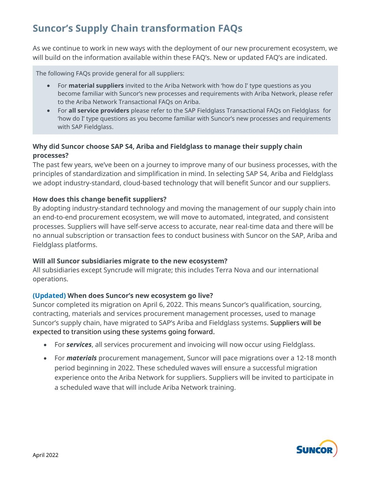# **Suncor's Supply Chain transformation FAQs**

As we continue to work in new ways with the deployment of our new procurement ecosystem, we will build on the information available within these FAQ's. New or updated FAQ's are indicated.

The following FAQs provide general for all suppliers:

- For **material suppliers** invited to the Ariba Network with 'how do I' type questions as you become familiar with Suncor's new processes and requirements with Ariba Network, please refer to the Ariba Network Transactional FAQs on Ariba.
- For **all service providers** please refer to the SAP Fieldglass Transactional FAQs on Fieldglass for 'how do I' type questions as you become familiar with Suncor's new processes and requirements with SAP Fieldglass.

# **Why did Suncor choose SAP S4, Ariba and Fieldglass to manage their supply chain processes?**

The past few years, we've been on a journey to improve many of our business processes, with the principles of standardization and simplification in mind. In selecting SAP S4, Ariba and Fieldglass we adopt industry-standard, cloud-based technology that will benefit Suncor and our suppliers.

# **How does this change benefit suppliers?**

By adopting industry-standard technology and moving the management of our supply chain into an end-to-end procurement ecosystem, we will move to automated, integrated, and consistent processes. Suppliers will have self-serve access to accurate, near real-time data and there will be no annual subscription or transaction fees to conduct business with Suncor on the SAP, Ariba and Fieldglass platforms.

## **Will all Suncor subsidiaries migrate to the new ecosystem?**

All subsidiaries except Syncrude will migrate; this includes Terra Nova and our international operations.

# **(Updated) When does Suncor's new ecosystem go live?**

Suncor completed its migration on April 6, 2022. This means Suncor's qualification, sourcing, contracting, materials and services procurement management processes, used to manage Suncor's supply chain, have migrated to SAP's Ariba and Fieldglass systems. Suppliers will be expected to transition using these systems going forward.

- For *services*, all services procurement and invoicing will now occur using Fieldglass.
- For *materials* procurement management, Suncor will pace migrations over a 12-18 month period beginning in 2022. These scheduled waves will ensure a successful migration experience onto the Ariba Network for suppliers. Suppliers will be invited to participate in a scheduled wave that will include Ariba Network training.

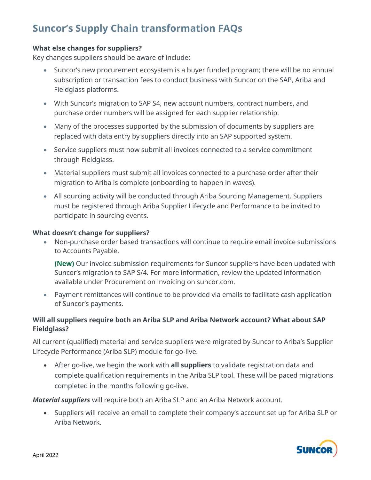# **Suncor's Supply Chain transformation FAQs**

## **What else changes for suppliers?**

Key changes suppliers should be aware of include:

- Suncor's new procurement ecosystem is a buyer funded program; there will be no annual subscription or transaction fees to conduct business with Suncor on the SAP, Ariba and Fieldglass platforms.
- With Suncor's migration to SAP S4, new account numbers, contract numbers, and purchase order numbers will be assigned for each supplier relationship.
- Many of the processes supported by the submission of documents by suppliers are replaced with data entry by suppliers directly into an SAP supported system.
- Service suppliers must now submit all invoices connected to a service commitment through Fieldglass.
- Material suppliers must submit all invoices connected to a purchase order after their migration to Ariba is complete (onboarding to happen in waves).
- All sourcing activity will be conducted through Ariba Sourcing Management. Suppliers must be registered through Ariba Supplier Lifecycle and Performance to be invited to participate in sourcing events.

#### **What doesn't change for suppliers?**

• Non-purchase order based transactions will continue to require email invoice submissions to Accounts Payable.

**(New)** Our invoice submission requirements for Suncor suppliers have been updated with Suncor's migration to SAP S/4. For more information, review the updated information available under Procurement on invoicing on suncor.com.

• Payment remittances will continue to be provided via emails to facilitate cash application of Suncor's payments.

# **Will all suppliers require both an Ariba SLP and Ariba Network account? What about SAP Fieldglass?**

All current (qualified) material and service suppliers were migrated by Suncor to Ariba's Supplier Lifecycle Performance (Ariba SLP) module for go-live.

• After go-live, we begin the work with **all suppliers** to validate registration data and complete qualification requirements in the Ariba SLP tool. These will be paced migrations completed in the months following go-live.

*Material suppliers* will require both an Ariba SLP and an Ariba Network account.

• Suppliers will receive an email to complete their company's account set up for Ariba SLP or Ariba Network.